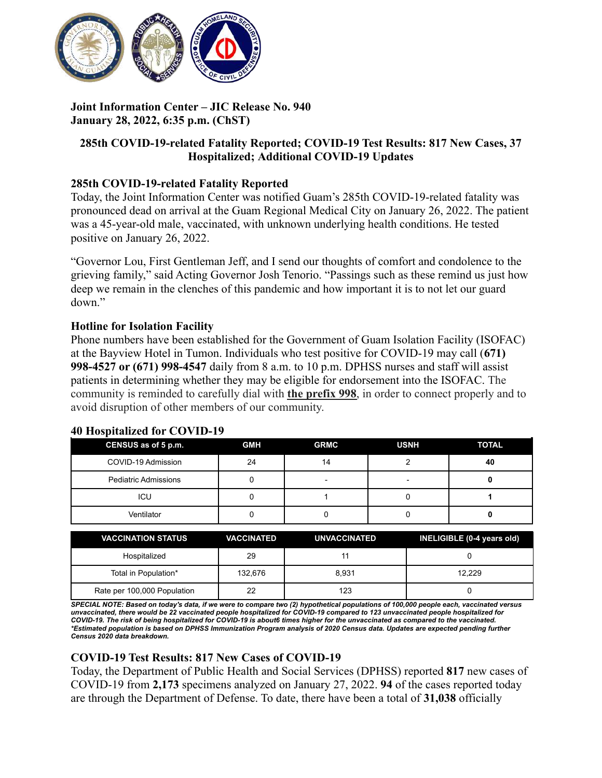

# **Joint Information Center – JIC Release No. 940 January 28, 2022, 6:35 p.m. (ChST)**

# **285th COVID-19-related Fatality Reported; COVID-19 Test Results: 817 New Cases, 37 Hospitalized; Additional COVID-19 Updates**

## **285th COVID-19-related Fatality Reported**

Today, the Joint Information Center was notified Guam's 285th COVID-19-related fatality was pronounced dead on arrival at the Guam Regional Medical City on January 26, 2022. The patient was a 45-year-old male, vaccinated, with unknown underlying health conditions. He tested positive on January 26, 2022.

"Governor Lou, First Gentleman Jeff, and I send our thoughts of comfort and condolence to the grieving family," said Acting Governor Josh Tenorio. "Passings such as these remind us just how deep we remain in the clenches of this pandemic and how important it is to not let our guard down."

#### **Hotline for Isolation Facility**

Phone numbers have been established for the Government of Guam Isolation Facility (ISOFAC) at the Bayview Hotel in Tumon. Individuals who test positive for COVID-19 may call (**671) 998-4527 or (671) 998-4547** daily from 8 a.m. to 10 p.m. DPHSS nurses and staff will assist patients in determining whether they may be eligible for endorsement into the ISOFAC. The community is reminded to carefully dial with **the prefix 998**, in order to connect properly and to avoid disruption of other members of our community.

#### **40 Hospitalized for COVID-19**

| CENSUS as of 5 p.m.         | <b>GMH</b> | <b>GRMC</b> | <b>USNH</b> | <b>TOTAL</b> |
|-----------------------------|------------|-------------|-------------|--------------|
| COVID-19 Admission          | 24         | 14          |             | 40           |
| <b>Pediatric Admissions</b> |            | -           |             |              |
| ICU                         |            |             |             |              |
| Ventilator                  |            |             |             |              |

| <b>VACCINATION STATUS</b>   | <b>VACCINATED</b> | <b>UNVACCINATED</b> | INELIGIBLE (0-4 years old) |
|-----------------------------|-------------------|---------------------|----------------------------|
| Hospitalized                | 29                | 11                  |                            |
| Total in Population*        | 132,676           | 8.931               | 12.229                     |
| Rate per 100,000 Population | 22                | 123                 |                            |

SPECIAL NOTE: Based on today's data, if we were to compare two (2) hypothetical populations of 100,000 people each, vaccinated versus unvaccinated, there would be 22 vaccinated people hospitalized for COVID-19 compared to 123 unvaccinated people hospitalized for COVID-19. The risk of being hospitalized for COVID-19 is about6 times higher for the unvaccinated as compared to the vaccinated. \*Estimated population is based on DPHSS Immunization Program analysis of 2020 Census data. Updates are expected pending further *Census 2020 data breakdown.*

## **COVID-19 Test Results: 817 New Cases of COVID-19**

Today, the Department of Public Health and Social Services (DPHSS) reported **817** new cases of COVID-19 from **2,173** specimens analyzed on January 27, 2022. **94** of the cases reported today are through the Department of Defense. To date, there have been a total of **31,038** officially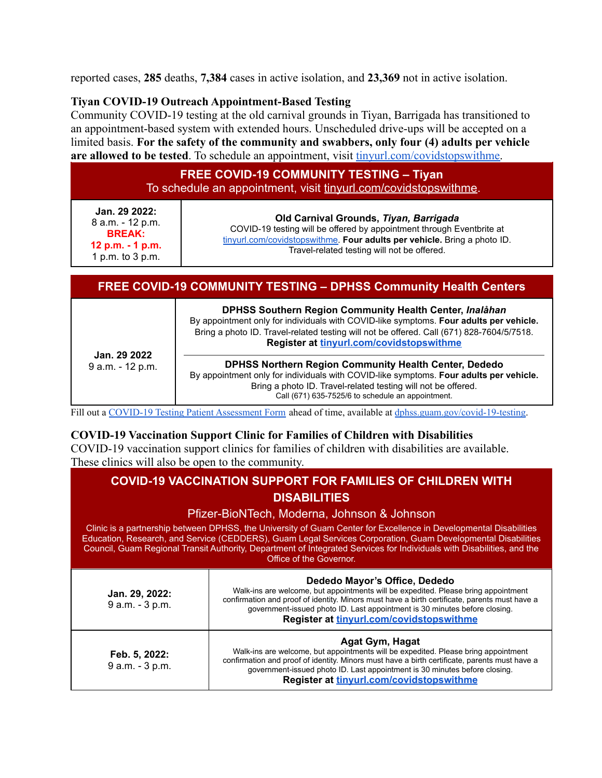reported cases, **285** deaths, **7,384** cases in active isolation, and **23,369** not in active isolation.

#### **Tiyan COVID-19 Outreach Appointment-Based Testing**

Community COVID-19 testing at the old carnival grounds in Tiyan, Barrigada has transitioned to an appointment-based system with extended hours. Unscheduled drive-ups will be accepted on a limited basis. **For the safety of the community and swabbers, only four (4) adults per vehicle** are allowed to be tested. To schedule an appointment, visit [tinyurl.com/covidstopswithme.](http://tinyurl.com/covidstopswithme)

| <b>FREE COVID-19 COMMUNITY TESTING - Tiyan</b><br>To schedule an appointment, visit tinyurl.com/covidstopswithme. |                                                                                                                                                                                                                                            |
|-------------------------------------------------------------------------------------------------------------------|--------------------------------------------------------------------------------------------------------------------------------------------------------------------------------------------------------------------------------------------|
| Jan. 29 2022:<br>8 a.m. - 12 p.m.<br><b>BREAK:</b><br>12 p.m. - 1 p.m.<br>1 p.m. to 3 p.m.                        | Old Carnival Grounds, Tiyan, Barrigada<br>COVID-19 testing will be offered by appointment through Eventbrite at<br>tinyurl.com/covidstopswithme. Four adults per vehicle. Bring a photo ID.<br>Travel-related testing will not be offered. |

|                                  | <b>FREE COVID-19 COMMUNITY TESTING - DPHSS Community Health Centers</b>                                                                                                                                                                                                                    |
|----------------------------------|--------------------------------------------------------------------------------------------------------------------------------------------------------------------------------------------------------------------------------------------------------------------------------------------|
| Jan. 29 2022<br>9 a.m. - 12 p.m. | DPHSS Southern Region Community Health Center, Inalåhan<br>By appointment only for individuals with COVID-like symptoms. Four adults per vehicle.<br>Bring a photo ID. Travel-related testing will not be offered. Call (671) 828-7604/5/7518.<br>Register at tinyurl.com/covidstopswithme |
|                                  | <b>DPHSS Northern Region Community Health Center, Dededo</b><br>By appointment only for individuals with COVID-like symptoms. Four adults per vehicle.<br>Bring a photo ID. Travel-related testing will not be offered.<br>Call (671) 635-7525/6 to schedule an appointment.               |

Fill out a COVID-19 Testing Patient [Assessment](https://dphss.guam.gov/wp-content/uploads/2021/09/DPHSS-TIYAN-Covid-PUI-Lab-Form-RLG.pdf) Form ahead of time, available at [dphss.guam.gov/covid-19-testing.](https://dphss.guam.gov/covid-19-testing/)

#### **COVID-19 Vaccination Support Clinic for Families of Children with Disabilities** COVID-19 vaccination support clinics for families of children with disabilities are available. These clinics will also be open to the community.

|                                                                                                                                                   | <b>COVID-19 VACCINATION SUPPORT FOR FAMILIES OF CHILDREN WITH</b><br><b>DISABILITIES</b>                                                                                                                                                                                                                                                       |
|---------------------------------------------------------------------------------------------------------------------------------------------------|------------------------------------------------------------------------------------------------------------------------------------------------------------------------------------------------------------------------------------------------------------------------------------------------------------------------------------------------|
|                                                                                                                                                   | Pfizer-BioNTech, Moderna, Johnson & Johnson<br>Clinic is a partnership between DPHSS, the University of Guam Center for Excellence in Developmental Disabilities<br>Education, Research, and Service (CEDDERS), Guam Legal Services Corporation, Guam Developmental Disabilities                                                               |
| Council, Guam Regional Transit Authority, Department of Integrated Services for Individuals with Disabilities, and the<br>Office of the Governor. |                                                                                                                                                                                                                                                                                                                                                |
| Jan. 29, 2022:<br>9 a.m. - 3 p.m.                                                                                                                 | Dededo Mayor's Office, Dededo<br>Walk-ins are welcome, but appointments will be expedited. Please bring appointment<br>confirmation and proof of identity. Minors must have a birth certificate, parents must have a<br>government-issued photo ID. Last appointment is 30 minutes before closing.<br>Register at tinyurl.com/covidstopswithme |
| Feb. 5, 2022:<br>9 a.m. - 3 p.m.                                                                                                                  | Agat Gym, Hagat<br>Walk-ins are welcome, but appointments will be expedited. Please bring appointment<br>confirmation and proof of identity. Minors must have a birth certificate, parents must have a<br>government-issued photo ID. Last appointment is 30 minutes before closing.<br>Register at tinyurl.com/covidstopswithme               |